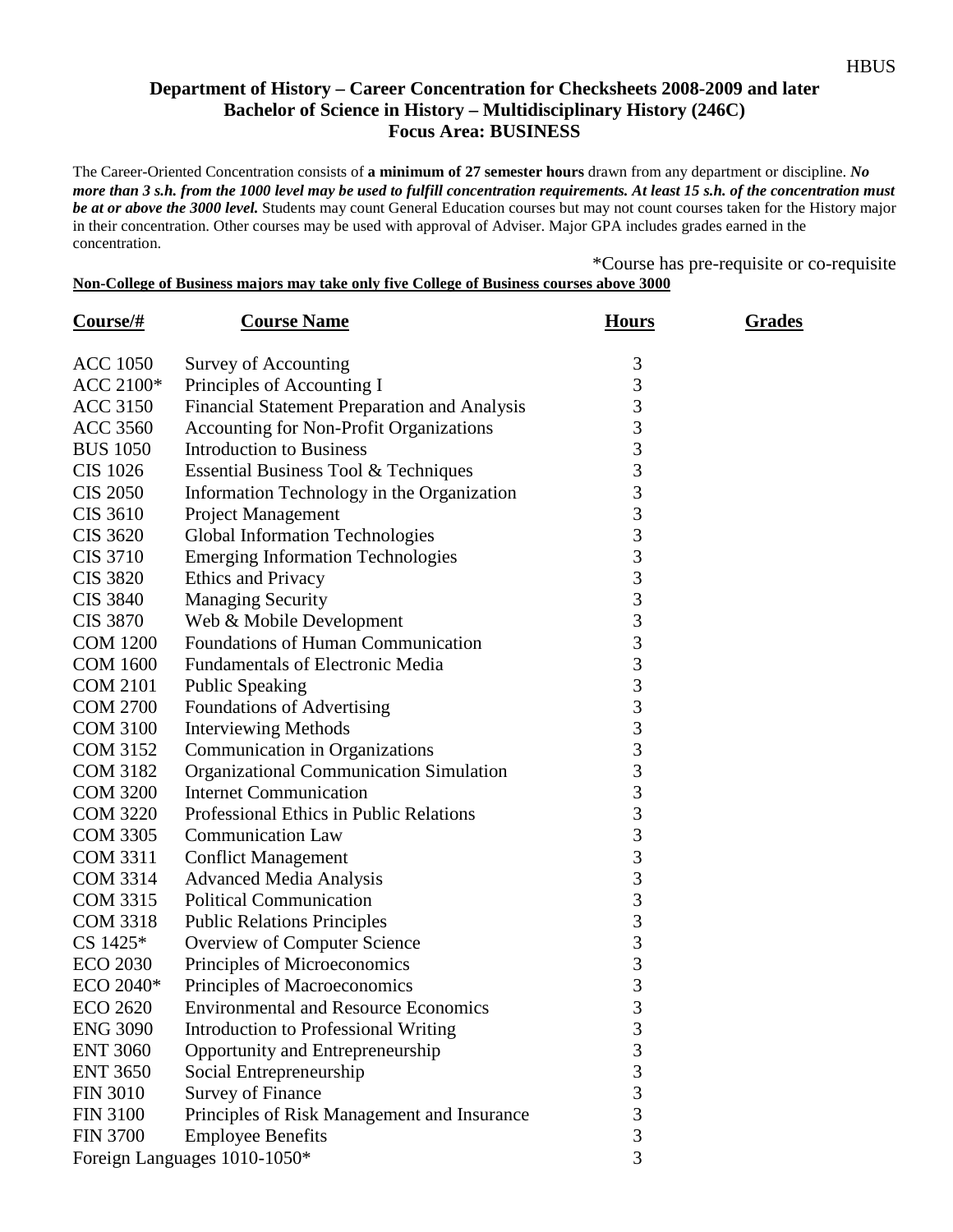## **Department of History – Career Concentration for Checksheets 2008-2009 and later Bachelor of Science in History – Multidisciplinary History (246C) Focus Area: BUSINESS**

The Career-Oriented Concentration consists of **a minimum of 27 semester hours** drawn from any department or discipline. *No more than 3 s.h. from the 1000 level may be used to fulfill concentration requirements. At least 15 s.h. of the concentration must be at or above the 3000 level.* Students may count General Education courses but may not count courses taken for the History major in their concentration. Other courses may be used with approval of Adviser. Major GPA includes grades earned in the concentration.

\*Course has pre-requisite or co-requisite **Non-College of Business majors may take only five College of Business courses above 3000**

**Course/# Course Name <b>Hours Hours** Grades ACC 1050 Survey of Accounting 3

| <b>ACC 1050</b>              | Survey of Accounting                           | $\mathfrak{Z}$ |
|------------------------------|------------------------------------------------|----------------|
| ACC 2100*                    | Principles of Accounting I                     | 3              |
| <b>ACC 3150</b>              | Financial Statement Preparation and Analysis   | 3              |
| <b>ACC 3560</b>              | <b>Accounting for Non-Profit Organizations</b> | 3              |
| <b>BUS 1050</b>              | <b>Introduction to Business</b>                | $\overline{3}$ |
| <b>CIS 1026</b>              | Essential Business Tool & Techniques           | $\overline{3}$ |
| <b>CIS 2050</b>              | Information Technology in the Organization     | 3              |
| <b>CIS 3610</b>              | Project Management                             | 3              |
| <b>CIS 3620</b>              | <b>Global Information Technologies</b>         | 3              |
| <b>CIS 3710</b>              | <b>Emerging Information Technologies</b>       | 3              |
| <b>CIS 3820</b>              | <b>Ethics and Privacy</b>                      | 3              |
| <b>CIS 3840</b>              | <b>Managing Security</b>                       | 3              |
| <b>CIS 3870</b>              | Web & Mobile Development                       | 3              |
| <b>COM 1200</b>              | Foundations of Human Communication             | 3              |
| <b>COM 1600</b>              | <b>Fundamentals of Electronic Media</b>        | 3              |
| <b>COM 2101</b>              | <b>Public Speaking</b>                         | $\overline{3}$ |
| <b>COM 2700</b>              | Foundations of Advertising                     | $\overline{3}$ |
| <b>COM 3100</b>              | <b>Interviewing Methods</b>                    | 3              |
| <b>COM 3152</b>              | Communication in Organizations                 | $\overline{3}$ |
| <b>COM 3182</b>              | <b>Organizational Communication Simulation</b> | $\overline{3}$ |
| <b>COM 3200</b>              | <b>Internet Communication</b>                  | $\overline{3}$ |
| <b>COM 3220</b>              | Professional Ethics in Public Relations        | $\overline{3}$ |
| <b>COM 3305</b>              | <b>Communication Law</b>                       | $\overline{3}$ |
| <b>COM 3311</b>              | <b>Conflict Management</b>                     | $\overline{3}$ |
| <b>COM 3314</b>              | <b>Advanced Media Analysis</b>                 | $\overline{3}$ |
| <b>COM 3315</b>              | <b>Political Communication</b>                 | $\overline{3}$ |
| <b>COM 3318</b>              | <b>Public Relations Principles</b>             | $\overline{3}$ |
| CS 1425*                     | Overview of Computer Science                   | $\overline{3}$ |
| <b>ECO 2030</b>              | Principles of Microeconomics                   | $\overline{3}$ |
| ECO 2040*                    | Principles of Macroeconomics                   | $\overline{3}$ |
| <b>ECO 2620</b>              | <b>Environmental and Resource Economics</b>    | $\overline{3}$ |
| <b>ENG 3090</b>              | <b>Introduction to Professional Writing</b>    | $\overline{3}$ |
| <b>ENT 3060</b>              | Opportunity and Entrepreneurship               | $\overline{3}$ |
| <b>ENT 3650</b>              | Social Entrepreneurship                        | $\overline{3}$ |
| <b>FIN 3010</b>              | <b>Survey of Finance</b>                       | $\overline{3}$ |
| <b>FIN 3100</b>              | Principles of Risk Management and Insurance    | 3              |
| <b>FIN 3700</b>              | <b>Employee Benefits</b>                       | 3              |
| Foreign Languages 1010-1050* |                                                | 3              |